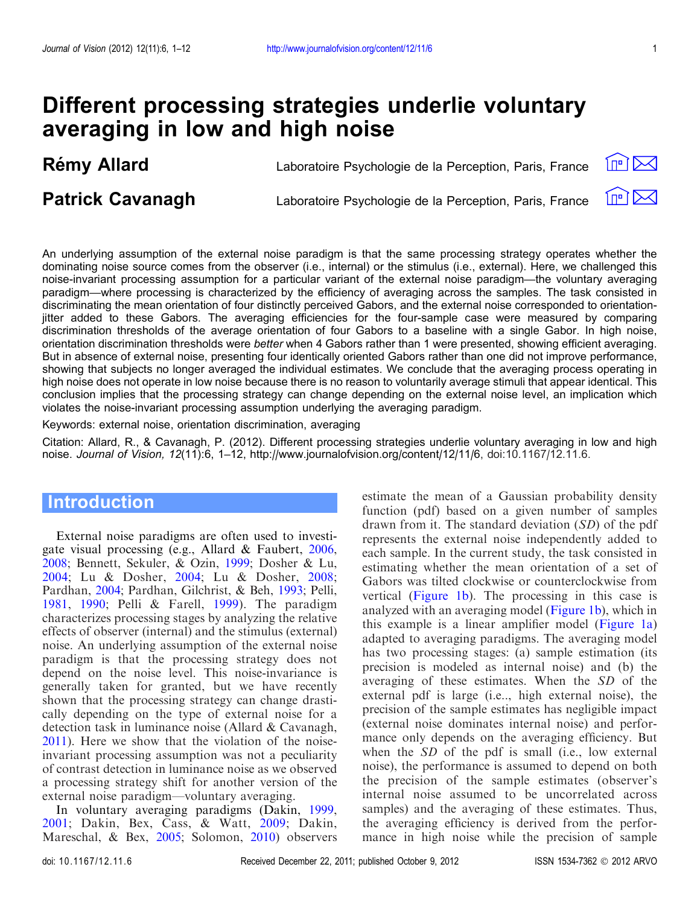# <span id="page-0-0"></span>Different processing strategies underlie voluntary averaging in low and high noise

Rémy Allard **Caboratoire Psychologie de la Perception**, Paris, France  $\boxed{1^n}$ 

**Patrick Cavanagh** Laboratoire Psychologie de la Perception, Paris, France  $\boxed{1^n}$ 



An underlying assumption of the external noise paradigm is that the same processing strategy operates whether the dominating noise source comes from the observer (i.e., internal) or the stimulus (i.e., external). Here, we challenged this noise-invariant processing assumption for a particular variant of the external noise paradigm—the voluntary averaging paradigm—where processing is characterized by the efficiency of averaging across the samples. The task consisted in discriminating the mean orientation of four distinctly perceived Gabors, and the external noise corresponded to orientationjitter added to these Gabors. The averaging efficiencies for the four-sample case were measured by comparing discrimination thresholds of the average orientation of four Gabors to a baseline with a single Gabor. In high noise, orientation discrimination thresholds were better when 4 Gabors rather than 1 were presented, showing efficient averaging. But in absence of external noise, presenting four identically oriented Gabors rather than one did not improve performance, showing that subjects no longer averaged the individual estimates. We conclude that the averaging process operating in high noise does not operate in low noise because there is no reason to voluntarily average stimuli that appear identical. This conclusion implies that the processing strategy can change depending on the external noise level, an implication which violates the noise-invariant processing assumption underlying the averaging paradigm.

Keywords: external noise, orientation discrimination, averaging

Citation: Allard, R., & Cavanagh, P. (2012). Different processing strategies underlie voluntary averaging in low and high noise. Journal of Vision, 12(11):6, 1–12, http://www.journalofvision.org/content/12/11/6, doi:10.1167/12.11.6.

### **Introduction**

External noise paradigms are often used to investigate visual processing (e.g., Allard & Faubert, [2006](#page-10-0), [2008;](#page-10-0) Bennett, Sekuler, & Ozin, [1999;](#page-10-0) Dosher & Lu, [2004;](#page-11-0) Lu & Dosher, [2004;](#page-11-0) Lu & Dosher, [2008](#page-11-0); Pardhan, [2004;](#page-11-0) Pardhan, Gilchrist, & Beh, [1993](#page-11-0); Pelli, [1981](#page-11-0), [1990](#page-11-0); Pelli & Farell, [1999](#page-11-0)). The paradigm characterizes processing stages by analyzing the relative effects of observer (internal) and the stimulus (external) noise. An underlying assumption of the external noise paradigm is that the processing strategy does not depend on the noise level. This noise-invariance is generally taken for granted, but we have recently shown that the processing strategy can change drastically depending on the type of external noise for a detection task in luminance noise (Allard & Cavanagh, [2011\)](#page-10-0). Here we show that the violation of the noiseinvariant processing assumption was not a peculiarity of contrast detection in luminance noise as we observed a processing strategy shift for another version of the external noise paradigm—voluntary averaging.

In voluntary averaging paradigms (Dakin, [1999](#page-10-0), [2001;](#page-10-0) Dakin, Bex, Cass, & Watt, [2009](#page-11-0); Dakin, Mareschal, & Bex, [2005;](#page-11-0) Solomon, [2010](#page-11-0)) observers estimate the mean of a Gaussian probability density function (pdf) based on a given number of samples drawn from it. The standard deviation (SD) of the pdf represents the external noise independently added to each sample. In the current study, the task consisted in estimating whether the mean orientation of a set of Gabors was tilted clockwise or counterclockwise from vertical [\(Figure 1b](#page-1-0)). The processing in this case is analyzed with an averaging model [\(Figure 1b](#page-1-0)), which in this example is a linear amplifier model [\(Figure 1a](#page-1-0)) adapted to averaging paradigms. The averaging model has two processing stages: (a) sample estimation (its precision is modeled as internal noise) and (b) the averaging of these estimates. When the SD of the external pdf is large (i.e.., high external noise), the precision of the sample estimates has negligible impact (external noise dominates internal noise) and performance only depends on the averaging efficiency. But when the *SD* of the pdf is small (i.e., low external noise), the performance is assumed to depend on both the precision of the sample estimates (observer's internal noise assumed to be uncorrelated across samples) and the averaging of these estimates. Thus, the averaging efficiency is derived from the performance in high noise while the precision of sample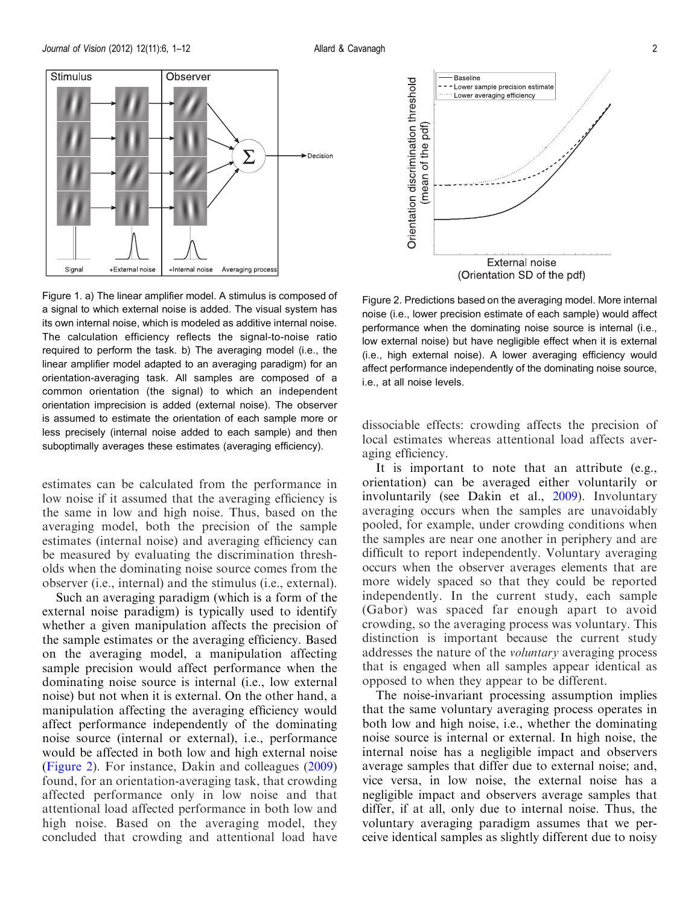<span id="page-1-0"></span>

Figure 1. a) The linear amplifier model. A stimulus is composed of a signal to which external noise is added. The visual system has its own internal noise, which is modeled as additive internal noise. The calculation efficiency reflects the signal-to-noise ratio required to perform the task. b) The averaging model (i.e., the linear amplifier model adapted to an averaging paradigm) for an orientation-averaging task. All samples are composed of a common orientation (the signal) to which an independent orientation imprecision is added (external noise). The observer is assumed to estimate the orientation of each sample more or less precisely (internal noise added to each sample) and then suboptimally averages these estimates (averaging efficiency).

estimates can be calculated from the performance in low noise if it assumed that the averaging efficiency is the same in low and high noise. Thus, based on the averaging model, both the precision of the sample estimates (internal noise) and averaging efficiency can be measured by evaluating the discrimination thresholds when the dominating noise source comes from the observer (i.e., internal) and the stimulus (i.e., external).

Such an averaging paradigm (which is a form of the external noise paradigm) is typically used to identify whether a given manipulation affects the precision of the sample estimates or the averaging efficiency. Based on the averaging model, a manipulation affecting sample precision would affect performance when the dominating noise source is internal (i.e., low external noise) but not when it is external. On the other hand, a manipulation affecting the averaging efficiency would affect performance independently of the dominating noise source (internal or external), i.e., performance would be affected in both low and high external noise (Figure 2). For instance, Dakin and colleagues ([2009](#page-10-0)) found, for an orientation-averaging task, that crowding affected performance only in low noise and that attentional load affected performance in both low and high noise. Based on the averaging model, they concluded that crowding and attentional load have



Figure 2. Predictions based on the averaging model. More internal noise (i.e., lower precision estimate of each sample) would affect performance when the dominating noise source is internal (i.e., low external noise) but have negligible effect when it is external (i.e., high external noise). A lower averaging efficiency would affect performance independently of the dominating noise source, i.e., at all noise levels.

dissociable effects: crowding affects the precision of local estimates whereas attentional load affects averaging efficiency.

It is important to note that an attribute (e.g., orientation) can be averaged either voluntarily or involuntarily (see Dakin et al., [2009](#page-11-0)). Involuntary averaging occurs when the samples are unavoidably pooled, for example, under crowding conditions when the samples are near one another in periphery and are difficult to report independently. Voluntary averaging occurs when the observer averages elements that are more widely spaced so that they could be reported independently. In the current study, each sample (Gabor) was spaced far enough apart to avoid crowding, so the averaging process was voluntary. This distinction is important because the current study addresses the nature of the voluntary averaging process that is engaged when all samples appear identical as opposed to when they appear to be different.

The noise-invariant processing assumption implies that the same voluntary averaging process operates in both low and high noise, i.e., whether the dominating noise source is internal or external. In high noise, the internal noise has a negligible impact and observers average samples that differ due to external noise; and, vice versa, in low noise, the external noise has a negligible impact and observers average samples that differ, if at all, only due to internal noise. Thus, the voluntary averaging paradigm assumes that we perceive identical samples as slightly different due to noisy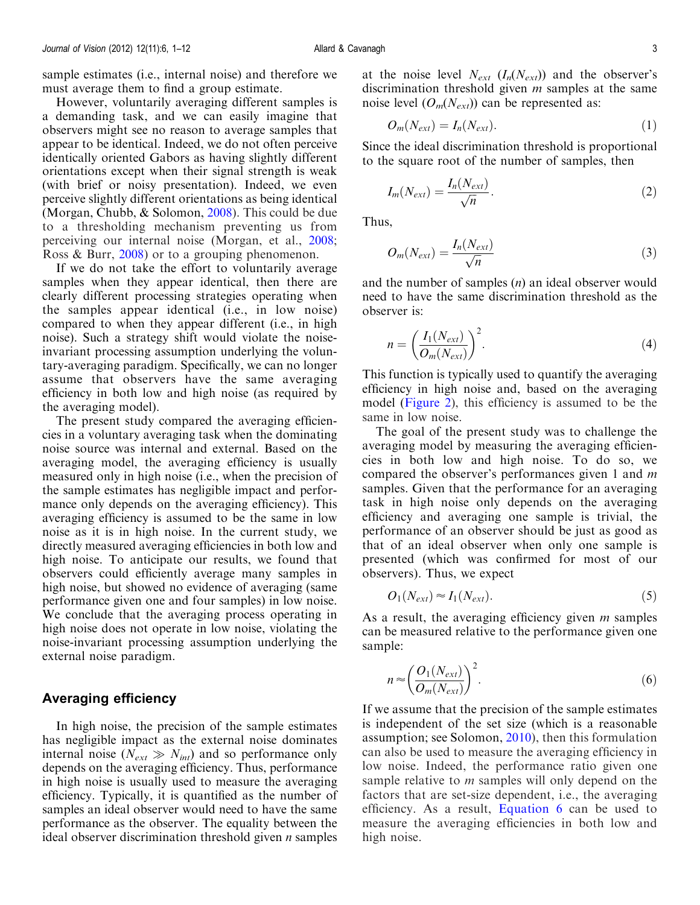<span id="page-2-0"></span>sample estimates (i.e., internal noise) and therefore we must average them to find a group estimate.

However, voluntarily averaging different samples is a demanding task, and we can easily imagine that observers might see no reason to average samples that appear to be identical. Indeed, we do not often perceive identically oriented Gabors as having slightly different orientations except when their signal strength is weak (with brief or noisy presentation). Indeed, we even perceive slightly different orientations as being identical (Morgan, Chubb, & Solomon, [2008](#page-11-0)). This could be due to a thresholding mechanism preventing us from perceiving our internal noise (Morgan, et al., [2008](#page-11-0); Ross & Burr, [2008\)](#page-11-0) or to a grouping phenomenon.

If we do not take the effort to voluntarily average samples when they appear identical, then there are clearly different processing strategies operating when the samples appear identical (i.e., in low noise) compared to when they appear different (i.e., in high noise). Such a strategy shift would violate the noiseinvariant processing assumption underlying the voluntary-averaging paradigm. Specifically, we can no longer assume that observers have the same averaging efficiency in both low and high noise (as required by the averaging model).

The present study compared the averaging efficiencies in a voluntary averaging task when the dominating noise source was internal and external. Based on the averaging model, the averaging efficiency is usually measured only in high noise (i.e., when the precision of the sample estimates has negligible impact and performance only depends on the averaging efficiency). This averaging efficiency is assumed to be the same in low noise as it is in high noise. In the current study, we directly measured averaging efficiencies in both low and high noise. To anticipate our results, we found that observers could efficiently average many samples in high noise, but showed no evidence of averaging (same performance given one and four samples) in low noise. We conclude that the averaging process operating in high noise does not operate in low noise, violating the noise-invariant processing assumption underlying the external noise paradigm.

### Averaging efficiency

In high noise, the precision of the sample estimates has negligible impact as the external noise dominates internal noise ( $N_{ext} \gg N_{int}$ ) and so performance only depends on the averaging efficiency. Thus, performance in high noise is usually used to measure the averaging efficiency. Typically, it is quantified as the number of samples an ideal observer would need to have the same performance as the observer. The equality between the ideal observer discrimination threshold given  $n$  samples noise level  $(O_m(N_{ext}))$  can be represented as:

$$
O_m(N_{ext}) = I_n(N_{ext}).
$$
\n(1)

Since the ideal discrimination threshold is proportional to the square root of the number of samples, then

$$
I_m(N_{ext}) = \frac{I_n(N_{ext})}{\sqrt{n}}.
$$
 (2)

Thus,

$$
O_m(N_{ext}) = \frac{I_n(N_{ext})}{\sqrt{n}}\tag{3}
$$

and the number of samples  $(n)$  an ideal observer would need to have the same discrimination threshold as the observer is:

$$
n = \left(\frac{I_1(N_{ext})}{O_m(N_{ext})}\right)^2.
$$
\n(4)

This function is typically used to quantify the averaging efficiency in high noise and, based on the averaging model ([Figure 2\)](#page-1-0), this efficiency is assumed to be the same in low noise.

The goal of the present study was to challenge the averaging model by measuring the averaging efficiencies in both low and high noise. To do so, we compared the observer's performances given 1 and m samples. Given that the performance for an averaging task in high noise only depends on the averaging efficiency and averaging one sample is trivial, the performance of an observer should be just as good as that of an ideal observer when only one sample is presented (which was confirmed for most of our observers). Thus, we expect

$$
O_1(N_{ext}) \approx I_1(N_{ext}).
$$
\n<sup>(5)</sup>

As a result, the averaging efficiency given *m* samples can be measured relative to the performance given one sample:

$$
n \approx \left(\frac{O_1(N_{ext})}{O_m(N_{ext})}\right)^2.
$$
 (6)

If we assume that the precision of the sample estimates is independent of the set size (which is a reasonable assumption; see Solomon, [2010\)](#page-11-0), then this formulation can also be used to measure the averaging efficiency in low noise. Indeed, the performance ratio given one sample relative to *m* samples will only depend on the factors that are set-size dependent, i.e., the averaging efficiency. As a result, Equation 6 can be used to measure the averaging efficiencies in both low and high noise.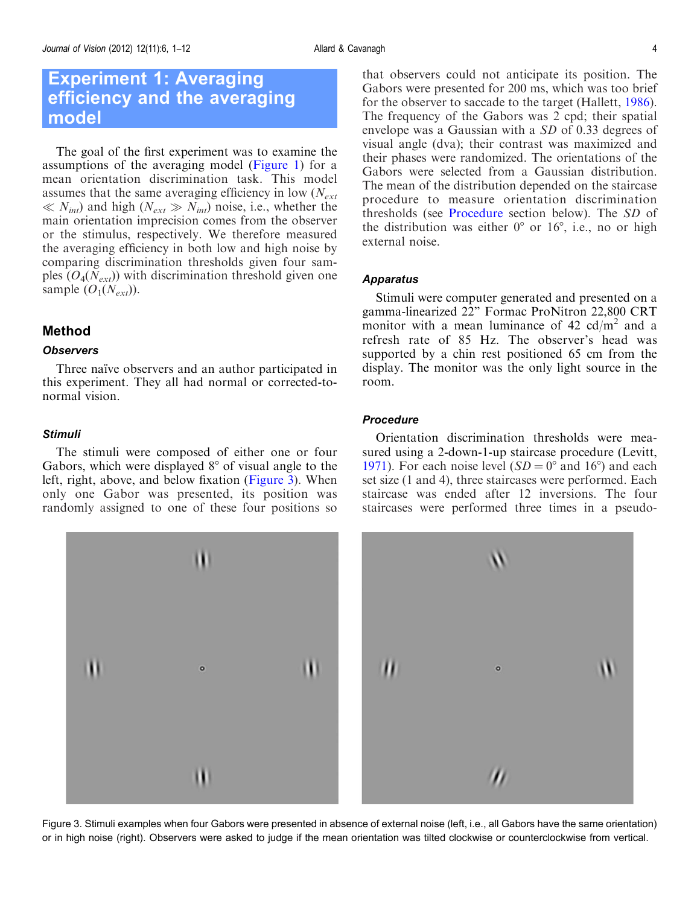## <span id="page-3-0"></span>Experiment 1: Averaging efficiency and the averaging model

The goal of the first experiment was to examine the assumptions of the averaging model [\(Figure 1](#page-1-0)) for a mean orientation discrimination task. This model assumes that the same averaging efficiency in low  $(N_{ext}$  $\ll N_{int}$ ) and high ( $N_{ext} \gg N_{int}$ ) noise, i.e., whether the main orientation imprecision comes from the observer or the stimulus, respectively. We therefore measured the averaging efficiency in both low and high noise by comparing discrimination thresholds given four samples  $(O_4(N_{ext}))$  with discrimination threshold given one sample  $(O_1(N_{ext}))$ .

### Method

### **Observers**

Three naïve observers and an author participated in this experiment. They all had normal or corrected-tonormal vision.

### Stimuli

The stimuli were composed of either one or four Gabors, which were displayed  $8^\circ$  of visual angle to the left, right, above, and below fixation (Figure 3). When only one Gabor was presented, its position was randomly assigned to one of these four positions so

that observers could not anticipate its position. The Gabors were presented for 200 ms, which was too brief for the observer to saccade to the target (Hallett, [1986](#page-11-0)). The frequency of the Gabors was 2 cpd; their spatial envelope was a Gaussian with a SD of 0.33 degrees of visual angle (dva); their contrast was maximized and their phases were randomized. The orientations of the Gabors were selected from a Gaussian distribution. The mean of the distribution depended on the staircase procedure to measure orientation discrimination thresholds (see Procedure section below). The SD of the distribution was either  $0^{\circ}$  or  $16^{\circ}$ , i.e., no or high external noise.

### Apparatus

Stimuli were computer generated and presented on a gamma-linearized 22'' Formac ProNitron 22,800 CRT monitor with a mean luminance of  $42 \text{ cd/m}^2$  and a refresh rate of 85 Hz. The observer's head was supported by a chin rest positioned 65 cm from the display. The monitor was the only light source in the room.

### **Procedure**

Orientation discrimination thresholds were measured using a 2-down-1-up staircase procedure (Levitt, [1971\)](#page-11-0). For each noise level  $(SD = 0^{\circ}$  and 16°) and each set size (1 and 4), three staircases were performed. Each staircase was ended after 12 inversions. The four staircases were performed three times in a pseudo-



Figure 3. Stimuli examples when four Gabors were presented in absence of external noise (left, i.e., all Gabors have the same orientation) or in high noise (right). Observers were asked to judge if the mean orientation was tilted clockwise or counterclockwise from vertical.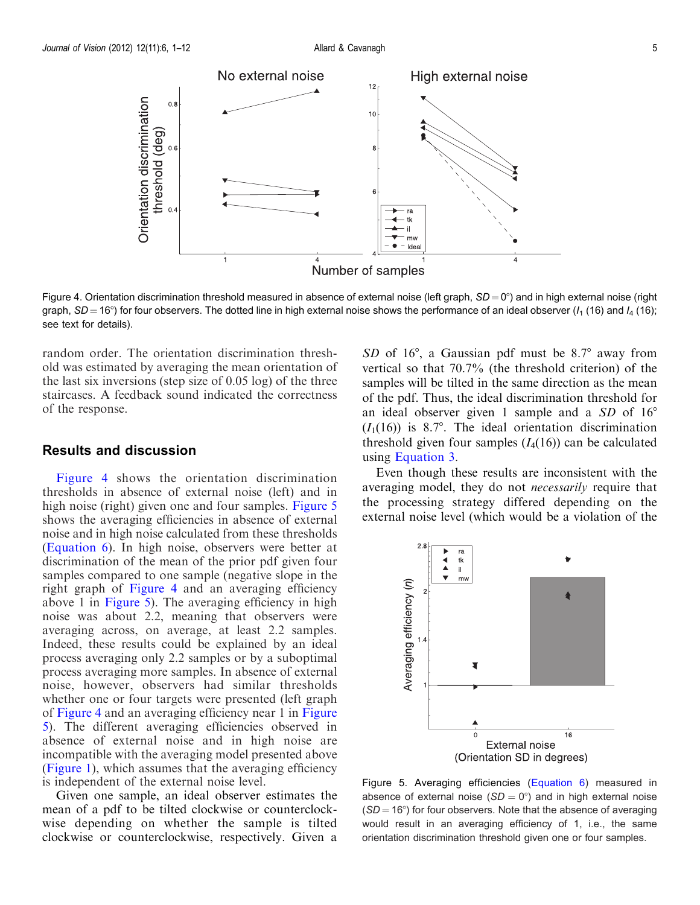<span id="page-4-0"></span>

Figure 4. Orientation discrimination threshold measured in absence of external noise (left graph,  $SD = 0^{\circ}$ ) and in high external noise (right graph,  $SD = 16^{\circ}$  for four observers. The dotted line in high external noise shows the performance of an ideal observer ( $I_1$  (16) and  $I_4$  (16); see text for details).

random order. The orientation discrimination threshold was estimated by averaging the mean orientation of the last six inversions (step size of 0.05 log) of the three staircases. A feedback sound indicated the correctness of the response.

### Results and discussion

Figure 4 shows the orientation discrimination thresholds in absence of external noise (left) and in high noise (right) given one and four samples. Figure 5 shows the averaging efficiencies in absence of external noise and in high noise calculated from these thresholds ([Equation 6\)](#page-2-0). In high noise, observers were better at discrimination of the mean of the prior pdf given four samples compared to one sample (negative slope in the right graph of Figure 4 and an averaging efficiency above 1 in Figure 5). The averaging efficiency in high noise was about 2.2, meaning that observers were averaging across, on average, at least 2.2 samples. Indeed, these results could be explained by an ideal process averaging only 2.2 samples or by a suboptimal process averaging more samples. In absence of external noise, however, observers had similar thresholds whether one or four targets were presented (left graph of Figure 4 and an averaging efficiency near 1 in Figure 5). The different averaging efficiencies observed in absence of external noise and in high noise are incompatible with the averaging model presented above ([Figure 1](#page-1-0)), which assumes that the averaging efficiency is independent of the external noise level.

Given one sample, an ideal observer estimates the mean of a pdf to be tilted clockwise or counterclockwise depending on whether the sample is tilted clockwise or counterclockwise, respectively. Given a

 $SD$  of 16°, a Gaussian pdf must be 8.7° away from vertical so that 70.7% (the threshold criterion) of the samples will be tilted in the same direction as the mean of the pdf. Thus, the ideal discrimination threshold for an ideal observer given 1 sample and a  $SD$  of  $16^{\circ}$  $(I_1(16))$  is 8.7°. The ideal orientation discrimination threshold given four samples  $(I_4(16))$  can be calculated using [Equation 3](#page-2-0).

Even though these results are inconsistent with the averaging model, they do not necessarily require that the processing strategy differed depending on the external noise level (which would be a violation of the



Figure 5. Averaging efficiencies ([Equation 6](#page-2-0)) measured in absence of external noise ( $SD = 0^{\circ}$ ) and in high external noise  $(SD = 16^{\circ})$  for four observers. Note that the absence of averaging would result in an averaging efficiency of 1, i.e., the same orientation discrimination threshold given one or four samples.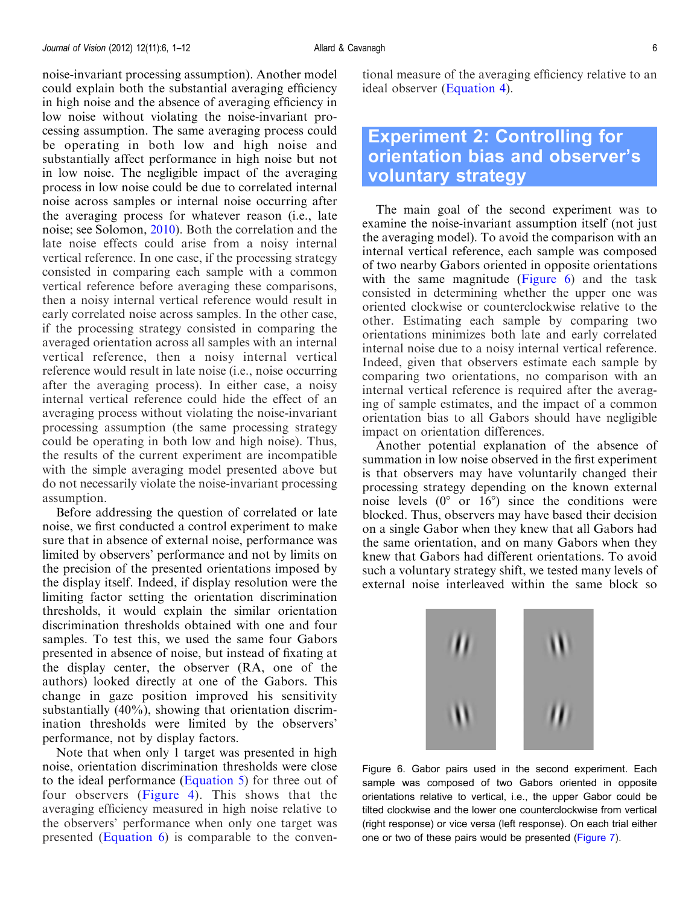<span id="page-5-0"></span>noise-invariant processing assumption). Another model could explain both the substantial averaging efficiency in high noise and the absence of averaging efficiency in low noise without violating the noise-invariant processing assumption. The same averaging process could be operating in both low and high noise and substantially affect performance in high noise but not in low noise. The negligible impact of the averaging process in low noise could be due to correlated internal noise across samples or internal noise occurring after the averaging process for whatever reason (i.e., late noise; see Solomon, [2010](#page-11-0)). Both the correlation and the late noise effects could arise from a noisy internal vertical reference. In one case, if the processing strategy consisted in comparing each sample with a common vertical reference before averaging these comparisons, then a noisy internal vertical reference would result in early correlated noise across samples. In the other case, if the processing strategy consisted in comparing the averaged orientation across all samples with an internal vertical reference, then a noisy internal vertical reference would result in late noise (i.e., noise occurring after the averaging process). In either case, a noisy internal vertical reference could hide the effect of an averaging process without violating the noise-invariant processing assumption (the same processing strategy could be operating in both low and high noise). Thus, the results of the current experiment are incompatible with the simple averaging model presented above but do not necessarily violate the noise-invariant processing assumption.

Before addressing the question of correlated or late noise, we first conducted a control experiment to make sure that in absence of external noise, performance was limited by observers' performance and not by limits on the precision of the presented orientations imposed by the display itself. Indeed, if display resolution were the limiting factor setting the orientation discrimination thresholds, it would explain the similar orientation discrimination thresholds obtained with one and four samples. To test this, we used the same four Gabors presented in absence of noise, but instead of fixating at the display center, the observer (RA, one of the authors) looked directly at one of the Gabors. This change in gaze position improved his sensitivity substantially (40%), showing that orientation discrimination thresholds were limited by the observers' performance, not by display factors.

Note that when only 1 target was presented in high noise, orientation discrimination thresholds were close to the ideal performance ([Equation 5\)](#page-2-0) for three out of four observers ([Figure 4](#page-4-0)). This shows that the averaging efficiency measured in high noise relative to the observers' performance when only one target was presented [\(Equation 6\)](#page-2-0) is comparable to the conven-

tional measure of the averaging efficiency relative to an ideal observer ([Equation 4\)](#page-2-0).

### Experiment 2: Controlling for orientation bias and observer's voluntary strategy

The main goal of the second experiment was to examine the noise-invariant assumption itself (not just the averaging model). To avoid the comparison with an internal vertical reference, each sample was composed of two nearby Gabors oriented in opposite orientations with the same magnitude (Figure 6) and the task consisted in determining whether the upper one was oriented clockwise or counterclockwise relative to the other. Estimating each sample by comparing two orientations minimizes both late and early correlated internal noise due to a noisy internal vertical reference. Indeed, given that observers estimate each sample by comparing two orientations, no comparison with an internal vertical reference is required after the averaging of sample estimates, and the impact of a common orientation bias to all Gabors should have negligible impact on orientation differences.

Another potential explanation of the absence of summation in low noise observed in the first experiment is that observers may have voluntarily changed their processing strategy depending on the known external noise levels  $(0^{\circ}$  or  $16^{\circ})$  since the conditions were blocked. Thus, observers may have based their decision on a single Gabor when they knew that all Gabors had the same orientation, and on many Gabors when they knew that Gabors had different orientations. To avoid such a voluntary strategy shift, we tested many levels of external noise interleaved within the same block so



Figure 6. Gabor pairs used in the second experiment. Each sample was composed of two Gabors oriented in opposite orientations relative to vertical, i.e., the upper Gabor could be tilted clockwise and the lower one counterclockwise from vertical (right response) or vice versa (left response). On each trial either one or two of these pairs would be presented [\(Figure 7](#page-6-0)).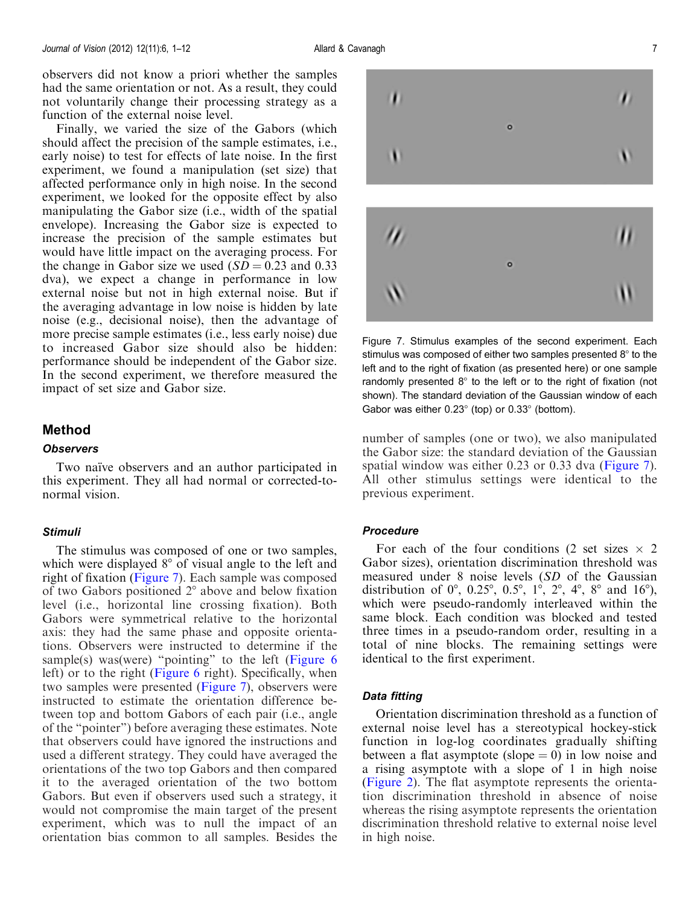<span id="page-6-0"></span>observers did not know a priori whether the samples had the same orientation or not. As a result, they could not voluntarily change their processing strategy as a function of the external noise level.

Finally, we varied the size of the Gabors (which should affect the precision of the sample estimates, i.e., early noise) to test for effects of late noise. In the first experiment, we found a manipulation (set size) that affected performance only in high noise. In the second experiment, we looked for the opposite effect by also manipulating the Gabor size (i.e., width of the spatial envelope). Increasing the Gabor size is expected to increase the precision of the sample estimates but would have little impact on the averaging process. For the change in Gabor size we used  $(SD = 0.23$  and 0.33 dva), we expect a change in performance in low external noise but not in high external noise. But if the averaging advantage in low noise is hidden by late noise (e.g., decisional noise), then the advantage of more precise sample estimates (i.e., less early noise) due to increased Gabor size should also be hidden: performance should be independent of the Gabor size. In the second experiment, we therefore measured the impact of set size and Gabor size.

### Method

#### **Observers**

Two naïve observers and an author participated in this experiment. They all had normal or corrected-tonormal vision.

### Stimuli

The stimulus was composed of one or two samples, which were displayed  $8^{\circ}$  of visual angle to the left and right of fixation (Figure 7). Each sample was composed of two Gabors positioned  $2^{\circ}$  above and below fixation level (i.e., horizontal line crossing fixation). Both Gabors were symmetrical relative to the horizontal axis: they had the same phase and opposite orientations. Observers were instructed to determine if the sample(s) was (were) "pointing" to the left (Figure  $6$ left) or to the right ([Figure 6](#page-5-0) right). Specifically, when two samples were presented (Figure 7), observers were instructed to estimate the orientation difference between top and bottom Gabors of each pair (i.e., angle of the ''pointer'') before averaging these estimates. Note that observers could have ignored the instructions and used a different strategy. They could have averaged the orientations of the two top Gabors and then compared it to the averaged orientation of the two bottom Gabors. But even if observers used such a strategy, it would not compromise the main target of the present experiment, which was to null the impact of an orientation bias common to all samples. Besides the

Figure 7. Stimulus examples of the second experiment. Each stimulus was composed of either two samples presented  $8^\circ$  to the left and to the right of fixation (as presented here) or one sample randomly presented  $8^\circ$  to the left or to the right of fixation (not shown). The standard deviation of the Gaussian window of each Gabor was either  $0.23^{\circ}$  (top) or  $0.33^{\circ}$  (bottom).

o

number of samples (one or two), we also manipulated the Gabor size: the standard deviation of the Gaussian spatial window was either 0.23 or 0.33 dva (Figure 7). All other stimulus settings were identical to the previous experiment.

### Procedure

For each of the four conditions (2 set sizes  $\times$  2 Gabor sizes), orientation discrimination threshold was measured under 8 noise levels (SD of the Gaussian distribution of  $0^{\circ}$ , 0.25°, 0.5°,  $1^{\circ}$ ,  $2^{\circ}$ ,  $4^{\circ}$ ,  $8^{\circ}$  and  $16^{\circ}$ ), which were pseudo-randomly interleaved within the same block. Each condition was blocked and tested three times in a pseudo-random order, resulting in a total of nine blocks. The remaining settings were identical to the first experiment.

#### Data fitting

Orientation discrimination threshold as a function of external noise level has a stereotypical hockey-stick function in log-log coordinates gradually shifting between a flat asymptote (slope  $= 0$ ) in low noise and a rising asymptote with a slope of 1 in high noise ([Figure 2](#page-1-0)). The flat asymptote represents the orientation discrimination threshold in absence of noise whereas the rising asymptote represents the orientation discrimination threshold relative to external noise level in high noise.

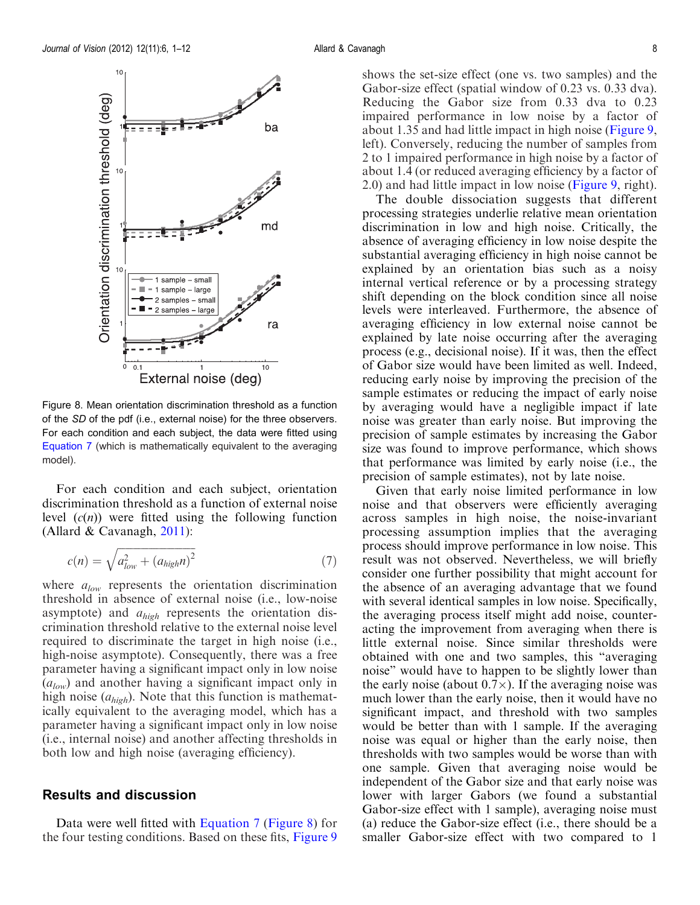<span id="page-7-0"></span>

Figure 8. Mean orientation discrimination threshold as a function of the SD of the pdf (i.e., external noise) for the three observers. For each condition and each subject, the data were fitted using Equation 7 (which is mathematically equivalent to the averaging model).

For each condition and each subject, orientation discrimination threshold as a function of external noise level  $(c(n))$  were fitted using the following function (Allard & Cavanagh, [2011](#page-10-0)):

$$
c(n) = \sqrt{a_{low}^2 + (a_{high}n)^2}
$$
 (7)

where  $a_{low}$  represents the orientation discrimination threshold in absence of external noise (i.e., low-noise asymptote) and  $a_{high}$  represents the orientation discrimination threshold relative to the external noise level required to discriminate the target in high noise (i.e., high-noise asymptote). Consequently, there was a free parameter having a significant impact only in low noise  $(a<sub>low</sub>)$  and another having a significant impact only in high noise  $(a_{high})$ . Note that this function is mathematically equivalent to the averaging model, which has a parameter having a significant impact only in low noise (i.e., internal noise) and another affecting thresholds in both low and high noise (averaging efficiency).

### Results and discussion

Data were well fitted with Equation 7 (Figure 8) for the four testing conditions. Based on these fits, [Figure 9](#page-8-0) shows the set-size effect (one vs. two samples) and the Gabor-size effect (spatial window of 0.23 vs. 0.33 dva). Reducing the Gabor size from 0.33 dva to 0.23 impaired performance in low noise by a factor of about 1.35 and had little impact in high noise [\(Figure 9](#page-8-0), left). Conversely, reducing the number of samples from 2 to 1 impaired performance in high noise by a factor of about 1.4 (or reduced averaging efficiency by a factor of 2.0) and had little impact in low noise ([Figure 9,](#page-8-0) right).

The double dissociation suggests that different processing strategies underlie relative mean orientation discrimination in low and high noise. Critically, the absence of averaging efficiency in low noise despite the substantial averaging efficiency in high noise cannot be explained by an orientation bias such as a noisy internal vertical reference or by a processing strategy shift depending on the block condition since all noise levels were interleaved. Furthermore, the absence of averaging efficiency in low external noise cannot be explained by late noise occurring after the averaging process (e.g., decisional noise). If it was, then the effect of Gabor size would have been limited as well. Indeed, reducing early noise by improving the precision of the sample estimates or reducing the impact of early noise by averaging would have a negligible impact if late noise was greater than early noise. But improving the precision of sample estimates by increasing the Gabor size was found to improve performance, which shows that performance was limited by early noise (i.e., the precision of sample estimates), not by late noise.

Given that early noise limited performance in low noise and that observers were efficiently averaging across samples in high noise, the noise-invariant processing assumption implies that the averaging process should improve performance in low noise. This result was not observed. Nevertheless, we will briefly consider one further possibility that might account for the absence of an averaging advantage that we found with several identical samples in low noise. Specifically, the averaging process itself might add noise, counteracting the improvement from averaging when there is little external noise. Since similar thresholds were obtained with one and two samples, this ''averaging noise'' would have to happen to be slightly lower than the early noise (about  $0.7\times$ ). If the averaging noise was much lower than the early noise, then it would have no significant impact, and threshold with two samples would be better than with 1 sample. If the averaging noise was equal or higher than the early noise, then thresholds with two samples would be worse than with one sample. Given that averaging noise would be independent of the Gabor size and that early noise was lower with larger Gabors (we found a substantial Gabor-size effect with 1 sample), averaging noise must (a) reduce the Gabor-size effect (i.e., there should be a smaller Gabor-size effect with two compared to 1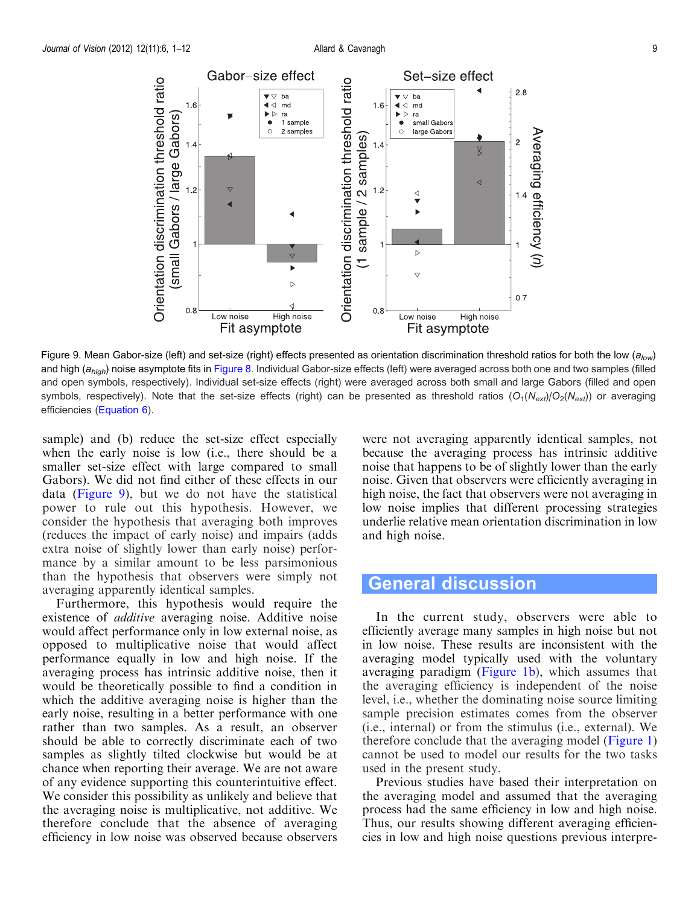<span id="page-8-0"></span>

Figure 9. Mean Gabor-size (left) and set-size (right) effects presented as orientation discrimination threshold ratios for both the low ( $a_{low}$ ) and high (a<sub>high</sub>) noise asymptote fits in [Figure 8.](#page-7-0) Individual Gabor-size effects (left) were averaged across both one and two samples (filled and open symbols, respectively). Individual set-size effects (right) were averaged across both small and large Gabors (filled and open symbols, respectively). Note that the set-size effects (right) can be presented as threshold ratios  $(O_1(N_{ext})/O_2(N_{ext}))$  or averaging efficiencies [\(Equation 6](#page-2-0)).

sample) and (b) reduce the set-size effect especially when the early noise is low (i.e., there should be a smaller set-size effect with large compared to small Gabors). We did not find either of these effects in our data (Figure 9), but we do not have the statistical power to rule out this hypothesis. However, we consider the hypothesis that averaging both improves (reduces the impact of early noise) and impairs (adds extra noise of slightly lower than early noise) performance by a similar amount to be less parsimonious than the hypothesis that observers were simply not averaging apparently identical samples.

Furthermore, this hypothesis would require the existence of additive averaging noise. Additive noise would affect performance only in low external noise, as opposed to multiplicative noise that would affect performance equally in low and high noise. If the averaging process has intrinsic additive noise, then it would be theoretically possible to find a condition in which the additive averaging noise is higher than the early noise, resulting in a better performance with one rather than two samples. As a result, an observer should be able to correctly discriminate each of two samples as slightly tilted clockwise but would be at chance when reporting their average. We are not aware of any evidence supporting this counterintuitive effect. We consider this possibility as unlikely and believe that the averaging noise is multiplicative, not additive. We therefore conclude that the absence of averaging efficiency in low noise was observed because observers

were not averaging apparently identical samples, not because the averaging process has intrinsic additive noise that happens to be of slightly lower than the early noise. Given that observers were efficiently averaging in high noise, the fact that observers were not averaging in low noise implies that different processing strategies underlie relative mean orientation discrimination in low and high noise.

### General discussion

In the current study, observers were able to efficiently average many samples in high noise but not in low noise. These results are inconsistent with the averaging model typically used with the voluntary averaging paradigm ([Figure 1b](#page-1-0)), which assumes that the averaging efficiency is independent of the noise level, i.e., whether the dominating noise source limiting sample precision estimates comes from the observer (i.e., internal) or from the stimulus (i.e., external). We therefore conclude that the averaging model ([Figure 1](#page-1-0)) cannot be used to model our results for the two tasks used in the present study.

Previous studies have based their interpretation on the averaging model and assumed that the averaging process had the same efficiency in low and high noise. Thus, our results showing different averaging efficiencies in low and high noise questions previous interpre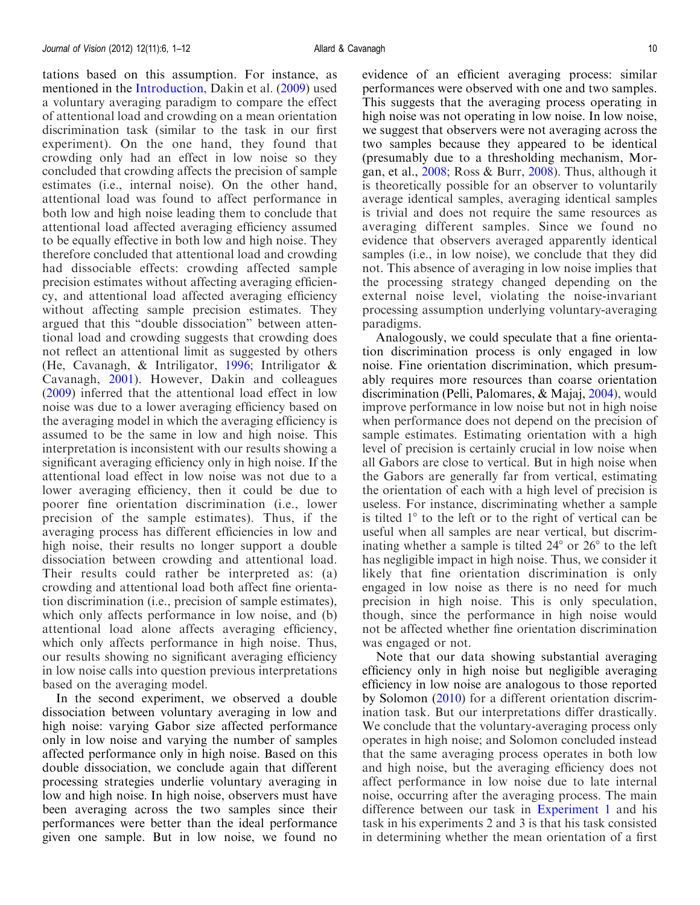tations based on this assumption. For instance, as mentioned in the [Introduction](#page-0-0), Dakin et al. ([2009](#page-11-0)) used a voluntary averaging paradigm to compare the effect of attentional load and crowding on a mean orientation discrimination task (similar to the task in our first experiment). On the one hand, they found that crowding only had an effect in low noise so they concluded that crowding affects the precision of sample estimates (i.e., internal noise). On the other hand, attentional load was found to affect performance in both low and high noise leading them to conclude that attentional load affected averaging efficiency assumed to be equally effective in both low and high noise. They therefore concluded that attentional load and crowding had dissociable effects: crowding affected sample precision estimates without affecting averaging efficiency, and attentional load affected averaging efficiency without affecting sample precision estimates. They argued that this ''double dissociation'' between attentional load and crowding suggests that crowding does not reflect an attentional limit as suggested by others (He, Cavanagh, & Intriligator, [1996;](#page-11-0) Intriligator & Cavanagh, [2001](#page-11-0)). However, Dakin and colleagues ([2009\)](#page-10-0) inferred that the attentional load effect in low noise was due to a lower averaging efficiency based on the averaging model in which the averaging efficiency is assumed to be the same in low and high noise. This interpretation is inconsistent with our results showing a significant averaging efficiency only in high noise. If the attentional load effect in low noise was not due to a lower averaging efficiency, then it could be due to poorer fine orientation discrimination (i.e., lower precision of the sample estimates). Thus, if the averaging process has different efficiencies in low and high noise, their results no longer support a double dissociation between crowding and attentional load. Their results could rather be interpreted as: (a) crowding and attentional load both affect fine orientation discrimination (i.e., precision of sample estimates), which only affects performance in low noise, and (b) attentional load alone affects averaging efficiency, which only affects performance in high noise. Thus, our results showing no significant averaging efficiency in low noise calls into question previous interpretations based on the averaging model.

In the second experiment, we observed a double dissociation between voluntary averaging in low and high noise: varying Gabor size affected performance only in low noise and varying the number of samples affected performance only in high noise. Based on this double dissociation, we conclude again that different processing strategies underlie voluntary averaging in low and high noise. In high noise, observers must have been averaging across the two samples since their performances were better than the ideal performance given one sample. But in low noise, we found no

evidence of an efficient averaging process: similar performances were observed with one and two samples. This suggests that the averaging process operating in high noise was not operating in low noise. In low noise, we suggest that observers were not averaging across the two samples because they appeared to be identical (presumably due to a thresholding mechanism, Morgan, et al., [2008;](#page-11-0) Ross & Burr, [2008](#page-11-0)). Thus, although it is theoretically possible for an observer to voluntarily average identical samples, averaging identical samples is trivial and does not require the same resources as averaging different samples. Since we found no evidence that observers averaged apparently identical samples (i.e., in low noise), we conclude that they did not. This absence of averaging in low noise implies that the processing strategy changed depending on the external noise level, violating the noise-invariant processing assumption underlying voluntary-averaging paradigms.

Analogously, we could speculate that a fine orientation discrimination process is only engaged in low noise. Fine orientation discrimination, which presumably requires more resources than coarse orientation discrimination (Pelli, Palomares, & Majaj, [2004\)](#page-11-0), would improve performance in low noise but not in high noise when performance does not depend on the precision of sample estimates. Estimating orientation with a high level of precision is certainly crucial in low noise when all Gabors are close to vertical. But in high noise when the Gabors are generally far from vertical, estimating the orientation of each with a high level of precision is useless. For instance, discriminating whether a sample is tilted  $1^\circ$  to the left or to the right of vertical can be useful when all samples are near vertical, but discriminating whether a sample is tilted  $24^{\circ}$  or  $26^{\circ}$  to the left has negligible impact in high noise. Thus, we consider it likely that fine orientation discrimination is only engaged in low noise as there is no need for much precision in high noise. This is only speculation, though, since the performance in high noise would not be affected whether fine orientation discrimination was engaged or not.

Note that our data showing substantial averaging efficiency only in high noise but negligible averaging efficiency in low noise are analogous to those reported by Solomon ([2010\)](#page-11-0) for a different orientation discrimination task. But our interpretations differ drastically. We conclude that the voluntary-averaging process only operates in high noise; and Solomon concluded instead that the same averaging process operates in both low and high noise, but the averaging efficiency does not affect performance in low noise due to late internal noise, occurring after the averaging process. The main difference between our task in [Experiment 1](#page-3-0) and his task in his experiments 2 and 3 is that his task consisted in determining whether the mean orientation of a first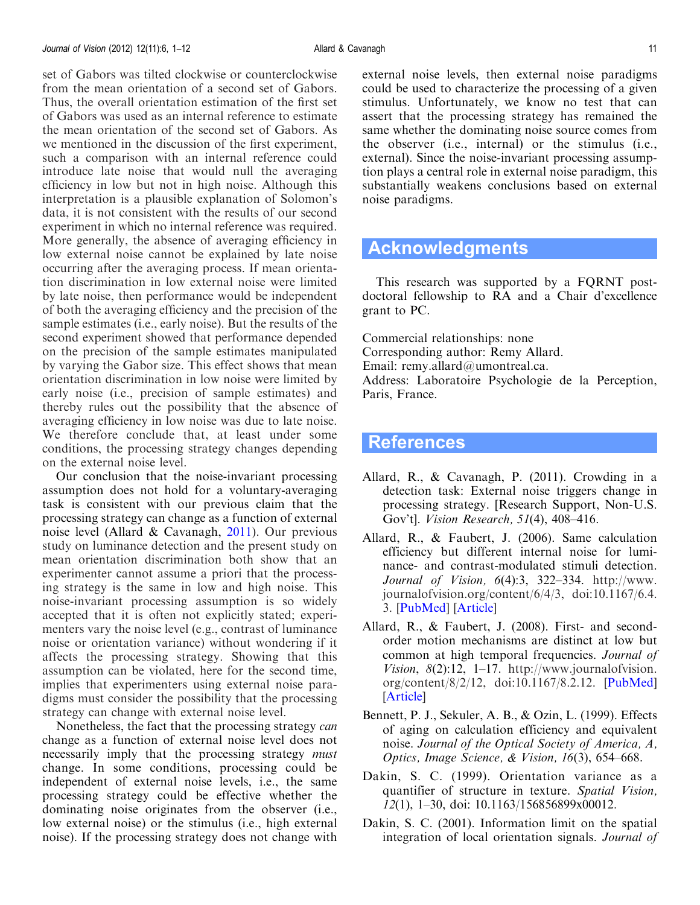<span id="page-10-0"></span>set of Gabors was tilted clockwise or counterclockwise from the mean orientation of a second set of Gabors. Thus, the overall orientation estimation of the first set of Gabors was used as an internal reference to estimate the mean orientation of the second set of Gabors. As we mentioned in the discussion of the first experiment, such a comparison with an internal reference could introduce late noise that would null the averaging efficiency in low but not in high noise. Although this interpretation is a plausible explanation of Solomon's data, it is not consistent with the results of our second experiment in which no internal reference was required. More generally, the absence of averaging efficiency in low external noise cannot be explained by late noise occurring after the averaging process. If mean orientation discrimination in low external noise were limited by late noise, then performance would be independent of both the averaging efficiency and the precision of the sample estimates (i.e., early noise). But the results of the second experiment showed that performance depended on the precision of the sample estimates manipulated by varying the Gabor size. This effect shows that mean orientation discrimination in low noise were limited by early noise (i.e., precision of sample estimates) and thereby rules out the possibility that the absence of averaging efficiency in low noise was due to late noise. We therefore conclude that, at least under some conditions, the processing strategy changes depending on the external noise level.

Our conclusion that the noise-invariant processing assumption does not hold for a voluntary-averaging task is consistent with our previous claim that the processing strategy can change as a function of external noise level (Allard & Cavanagh, 2011). Our previous study on luminance detection and the present study on mean orientation discrimination both show that an experimenter cannot assume a priori that the processing strategy is the same in low and high noise. This noise-invariant processing assumption is so widely accepted that it is often not explicitly stated; experimenters vary the noise level (e.g., contrast of luminance noise or orientation variance) without wondering if it affects the processing strategy. Showing that this assumption can be violated, here for the second time, implies that experimenters using external noise paradigms must consider the possibility that the processing strategy can change with external noise level.

Nonetheless, the fact that the processing strategy can change as a function of external noise level does not necessarily imply that the processing strategy *must* change. In some conditions, processing could be independent of external noise levels, i.e., the same processing strategy could be effective whether the dominating noise originates from the observer (i.e., low external noise) or the stimulus (i.e., high external noise). If the processing strategy does not change with

external noise levels, then external noise paradigms could be used to characterize the processing of a given stimulus. Unfortunately, we know no test that can assert that the processing strategy has remained the same whether the dominating noise source comes from the observer (i.e., internal) or the stimulus (i.e., external). Since the noise-invariant processing assumption plays a central role in external noise paradigm, this substantially weakens conclusions based on external noise paradigms.

### Acknowledgments

This research was supported by a FQRNT postdoctoral fellowship to RA and a Chair d'excellence grant to PC.

Commercial relationships: none Corresponding author: Remy Allard. Email: remy.allard@umontreal.ca. Address: Laboratoire Psychologie de la Perception, Paris, France.

### References

- Allard, R., & Cavanagh, P. (2011). Crowding in a detection task: External noise triggers change in processing strategy. [Research Support, Non-U.S. Gov't]. Vision Research, 51(4), 408–416.
- Allard, R., & Faubert, J. (2006). Same calculation efficiency but different internal noise for luminance- and contrast-modulated stimuli detection. Journal of Vision, 6(4):3, 322–334. [http://www.](http://www.journalofvision.org/content/6/4/3) [journalofvision.org/content/6/4/3,](http://www.journalofvision.org/content/6/4/3) doi:10.1167/6.4. 3. [[PubMed](http://www.ncbi.nlm.nih.gov/pubmed/16889472)] [[Article\]](http://www.journalofvision.org/content/6/4/3.long)
- Allard, R., & Faubert, J. (2008). First- and secondorder motion mechanisms are distinct at low but common at high temporal frequencies. Journal of Vision,  $8(2)$ :12, 1–17. [http://www.journalofvision.](http://www.journalofvision.org/content/8/2/12) [org/content/8/2/12](http://www.journalofvision.org/content/8/2/12), doi:10.1167/8.2.12. [[PubMed](http://www.ncbi.nlm.nih.gov/pubmed/18318638)] [[Article\]](http://www.journalofvision.org/content/8/2/12.long)
- Bennett, P. J., Sekuler, A. B., & Ozin, L. (1999). Effects of aging on calculation efficiency and equivalent noise. Journal of the Optical Society of America, A, Optics, Image Science, & Vision, 16(3), 654–668.
- Dakin, S. C. (1999). Orientation variance as a quantifier of structure in texture. Spatial Vision, 12(1), 1–30, doi: 10.1163/156856899x00012.
- Dakin, S. C. (2001). Information limit on the spatial integration of local orientation signals. Journal of